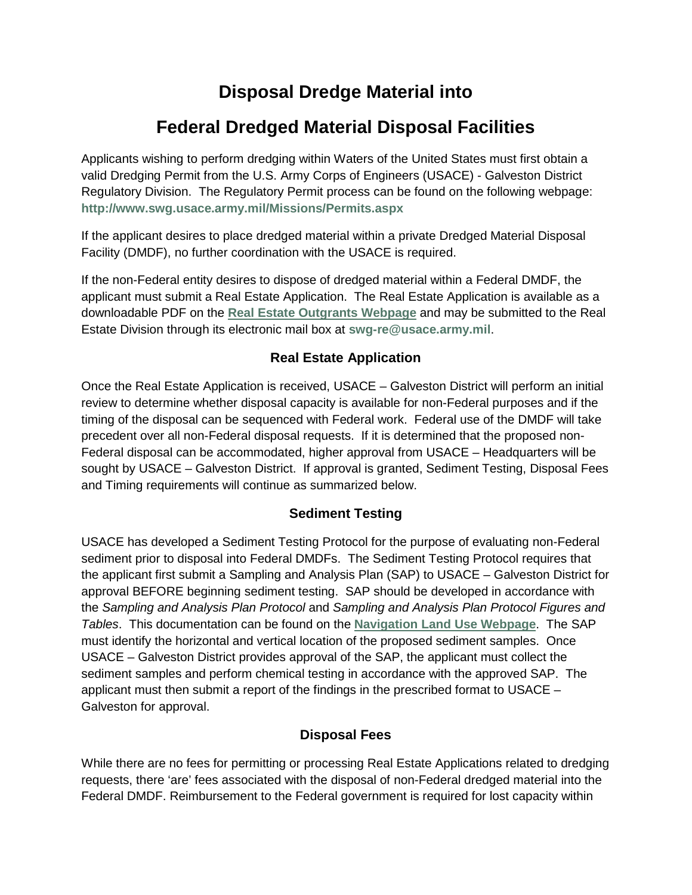## **Disposal Dredge Material into**

# **Federal Dredged Material Disposal Facilities**

Applicants wishing to perform dredging within Waters of the United States must first obtain a valid Dredging Permit from the U.S. Army Corps of Engineers (USACE) - Galveston District Regulatory Division. The Regulatory Permit process can be found on the following webpage: **<http://www.swg.usace.army.mil/Missions/Permits.aspx>**

If the applicant desires to place dredged material within a private Dredged Material Disposal Facility (DMDF), no further coordination with the USACE is required.

If the non-Federal entity desires to dispose of dredged material within a Federal DMDF, the applicant must submit a Real Estate Application. The Real Estate Application is available as a downloadable PDF on the **[Real Estate Outgrants Webpage](http://www.swg.usace.army.mil/BusinessWithUs/RealEstateDivision/Outgrants.aspx)** and may be submitted to the Real Estate Division through its electronic mail box at **[swg-re@usace.army.mil](mailto:swg-re@usace.army.mil)**.

### **Real Estate Application**

Once the Real Estate Application is received, USACE – Galveston District will perform an initial review to determine whether disposal capacity is available for non-Federal purposes and if the timing of the disposal can be sequenced with Federal work. Federal use of the DMDF will take precedent over all non-Federal disposal requests. If it is determined that the proposed non-Federal disposal can be accommodated, higher approval from USACE – Headquarters will be sought by USACE – Galveston District. If approval is granted, Sediment Testing, Disposal Fees and Timing requirements will continue as summarized below.

#### **Sediment Testing**

USACE has developed a Sediment Testing Protocol for the purpose of evaluating non-Federal sediment prior to disposal into Federal DMDFs. The Sediment Testing Protocol requires that the applicant first submit a Sampling and Analysis Plan (SAP) to USACE – Galveston District for approval BEFORE beginning sediment testing. SAP should be developed in accordance with the *Sampling and Analysis Plan Protocol* and *Sampling and Analysis Plan Protocol Figures and Tables*. This documentation can be found on the **[Navigation Land Use](http://www.swg.usace.army.mil/Missions/Navigation/LandUse.aspx) Webpage**. The SAP must identify the horizontal and vertical location of the proposed sediment samples. Once USACE – Galveston District provides approval of the SAP, the applicant must collect the sediment samples and perform chemical testing in accordance with the approved SAP. The applicant must then submit a report of the findings in the prescribed format to USACE – Galveston for approval.

#### **Disposal Fees**

While there are no fees for permitting or processing Real Estate Applications related to dredging requests, there 'are' fees associated with the disposal of non-Federal dredged material into the Federal DMDF. Reimbursement to the Federal government is required for lost capacity within